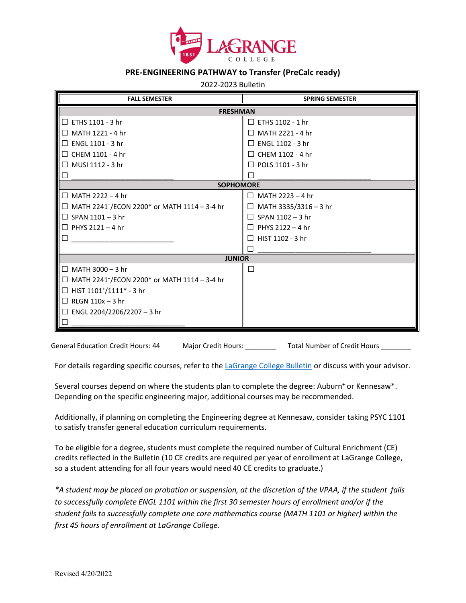

## **PRE-ENGINEERING PATHWAY to Transfer (PreCalc ready)**

2022-2023 Bulletin

| <b>FALL SEMESTER</b>                                            | <b>SPRING SEMESTER</b>          |  |
|-----------------------------------------------------------------|---------------------------------|--|
| <b>FRESHMAN</b>                                                 |                                 |  |
| $\sqsupset$ ETHS 1101 - 3 hr                                    | $\Box$ ETHS 1102 - 1 hr         |  |
| □ MATH 1221 - 4 hr                                              | $\Box$ MATH 2221 - 4 hr         |  |
| $\Box$ ENGL 1101 - 3 hr                                         | $\Box$ ENGL 1102 - 3 hr         |  |
| $\Box$ CHEM 1101 - 4 hr                                         | $\Box$ CHEM 1102 - 4 hr         |  |
| □ MUSI 1112 - 3 hr                                              | $\Box$ POLS 1101 - 3 hr         |  |
|                                                                 | П                               |  |
| <b>SOPHOMORE</b>                                                |                                 |  |
| $\Box$ MATH 2222 – 4 hr                                         | $\Box$ MATH 2223 - 4 hr         |  |
| $\Box$ MATH 2241 <sup>+</sup> /ECON 2200* or MATH 1114 – 3-4 hr | MATH 3335/3316 - 3 hr<br>$\Box$ |  |
| $\Box$ SPAN 1101 – 3 hr                                         | $\Box$ SPAN 1102 - 3 hr         |  |
| $\Box$ PHYS 2121 – 4 hr                                         | PHYS 2122 - 4 hr<br>$\Box$      |  |
|                                                                 | HIST 1102 - 3 hr<br>П           |  |
|                                                                 |                                 |  |
| <b>JUNIOR</b>                                                   |                                 |  |
| □ MATH 3000 – 3 hr                                              | □                               |  |
| $\Box$ MATH 2241 <sup>+</sup> /ECON 2200* or MATH 1114 – 3-4 hr |                                 |  |
| $\Box$ HIST 1101 <sup>+</sup> /1111 <sup>*</sup> - 3 hr         |                                 |  |
| $\Box$ RLGN 110x – 3 hr                                         |                                 |  |
| □ ENGL 2204/2206/2207 – 3 hr                                    |                                 |  |
|                                                                 |                                 |  |

General Education Credit Hours: 44 Major Credit Hours: \_\_\_\_\_\_\_\_\_\_ Total Number of Credit Hours \_\_\_\_

For details regarding specific courses, refer to th[e LaGrange College Bulletin](http://www.lagrange.edu/academics/catalogs.html) or discuss with your advisor.

Several courses depend on where the students plan to complete the degree: Auburn<sup>+</sup> or Kennesaw\*. Depending on the specific engineering major, additional courses may be recommended.

Additionally, if planning on completing the Engineering degree at Kennesaw, consider taking PSYC 1101 to satisfy transfer general education curriculum requirements.

To be eligible for a degree, students must complete the required number of Cultural Enrichment (CE) credits reflected in the Bulletin (10 CE credits are required per year of enrollment at LaGrange College, so a student attending for all four years would need 40 CE credits to graduate.)

*\*A student may be placed on probation or suspension, at the discretion of the VPAA, if the student fails to successfully complete ENGL 1101 within the first 30 semester hours of enrollment and/or if the student fails to successfully complete one core mathematics course (MATH 1101 or higher) within the first 45 hours of enrollment at LaGrange College.*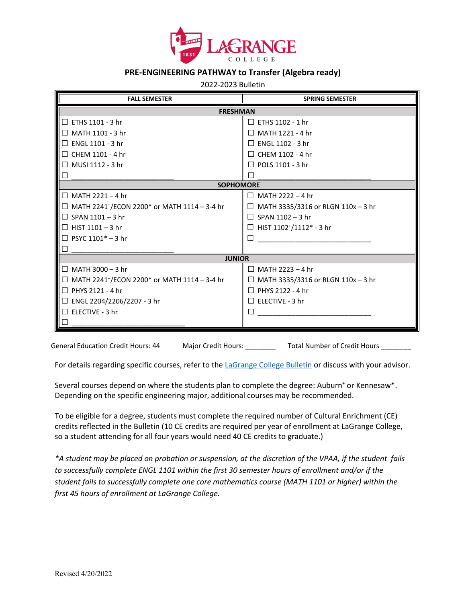

## **PRE-ENGINEERING PATHWAY to Transfer (Algebra ready)**

2022-2023 Bulletin

| <b>FALL SEMESTER</b>                                                        | <b>SPRING SEMESTER</b>                       |  |
|-----------------------------------------------------------------------------|----------------------------------------------|--|
| <b>FRESHMAN</b>                                                             |                                              |  |
| $\Box$ ETHS 1101 - 3 hr                                                     | $\Box$ ETHS 1102 - 1 hr                      |  |
| $\Box$ MATH 1101 - 3 hr                                                     | $\Box$ MATH 1221 - 4 hr                      |  |
| $\Box$ ENGL 1101 - 3 hr                                                     | $\Box$ ENGL 1102 - 3 hr                      |  |
| $\Box$ CHEM 1101 - 4 hr                                                     | $\Box$ CHEM 1102 - 4 hr                      |  |
| $\Box$ MUSI 1112 - 3 hr                                                     | $\Box$ POLS 1101 - 3 hr                      |  |
|                                                                             |                                              |  |
| <b>SOPHOMORE</b>                                                            |                                              |  |
| $\Box$ MATH 2221 - 4 hr                                                     | MATH 2222 - 4 hr<br>П                        |  |
| $\Box$ MATH 2241 <sup>+</sup> /ECON 2200 <sup>*</sup> or MATH 1114 - 3-4 hr | MATH 3335/3316 or RLGN 110x - 3 hr<br>П      |  |
| $\Box$ SPAN 1101 - 3 hr                                                     | $\Box$ SPAN 1102 - 3 hr                      |  |
| $\Box$ HIST 1101 - 3 hr                                                     | HIST 1102+/1112* - 3 hr<br>П                 |  |
| $\Box$ PSYC 1101* - 3 hr                                                    |                                              |  |
|                                                                             |                                              |  |
| <b>JUNIOR</b>                                                               |                                              |  |
| $\Box$ MATH 3000 - 3 hr                                                     | MATH 2223 - 4 hr<br>$\Box$                   |  |
| $\Box$ MATH 2241 <sup>+</sup> /ECON 2200 <sup>*</sup> or MATH 1114 - 3-4 hr | MATH 3335/3316 or RLGN 110x - 3 hr<br>$\Box$ |  |
| $\Box$ PHYS 2121 - 4 hr                                                     | $\Box$ PHYS 2122 - 4 hr                      |  |
| □ ENGL 2204/2206/2207 - 3 hr                                                | $\Box$ ELECTIVE - 3 hr                       |  |
| $\square$ ELECTIVE - 3 hr                                                   |                                              |  |
|                                                                             |                                              |  |

General Education Credit Hours: 44 Major Credit Hours: \_\_\_\_\_\_\_\_\_ Total Number of Credit Hours \_\_

For details regarding specific courses, refer to th[e LaGrange College Bulletin](http://www.lagrange.edu/academics/catalogs.html) or discuss with your advisor.

Several courses depend on where the students plan to complete the degree: Auburn<sup>+</sup> or Kennesaw\*. Depending on the specific engineering major, additional courses may be recommended.

To be eligible for a degree, students must complete the required number of Cultural Enrichment (CE) credits reflected in the Bulletin (10 CE credits are required per year of enrollment at LaGrange College, so a student attending for all four years would need 40 CE credits to graduate.)

*\*A student may be placed on probation or suspension, at the discretion of the VPAA, if the student fails to successfully complete ENGL 1101 within the first 30 semester hours of enrollment and/or if the student fails to successfully complete one core mathematics course (MATH 1101 or higher) within the first 45 hours of enrollment at LaGrange College.*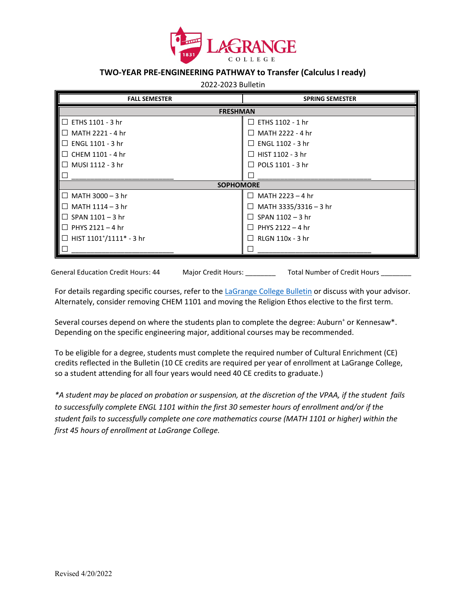

## **TWO-YEAR PRE-ENGINEERING PATHWAY to Transfer (Calculus I ready)**

2022-2023 Bulletin

| <b>FALL SEMESTER</b>           | <b>SPRING SEMESTER</b>          |  |
|--------------------------------|---------------------------------|--|
| <b>FRESHMAN</b>                |                                 |  |
| $\Box$ ETHS 1101 - 3 hr        | $\Box$ ETHS 1102 - 1 hr         |  |
| $\Box$ MATH 2221 - 4 hr        | $\Box$ MATH 2222 - 4 hr         |  |
| $\Box$ ENGL 1101 - 3 hr        | $\Box$ ENGL 1102 - 3 hr         |  |
| $\Box$ CHEM 1101 - 4 hr        | $\Box$ HIST 1102 - 3 hr         |  |
| $\Box$ MUSI 1112 - 3 hr        | $\Box$ POLS 1101 - 3 hr         |  |
|                                |                                 |  |
| <b>SOPHOMORE</b>               |                                 |  |
| $\Box$ MATH 3000 – 3 hr        | MATH 2223 - 4 hr<br>П           |  |
| $\Box~$ MATH 1114 – 3 hr       | MATH 3335/3316 - 3 hr<br>$\Box$ |  |
| $\Box$ SPAN 1101 – 3 hr        | SPAN 1102 - 3 hr<br>$\Box$      |  |
| $\Box$ PHYS 2121 – 4 hr        | PHYS 2122 - 4 hr<br>$\Box$      |  |
| $\Box$ HIST 1101*/1111* - 3 hr | RLGN 110x - 3 hr                |  |
|                                |                                 |  |

General Education Credit Hours: 44 Major Credit Hours: Total Number of Credit Hours

For details regarding specific courses, refer to th[e LaGrange College Bulletin](http://www.lagrange.edu/academics/catalogs.html) or discuss with your advisor. Alternately, consider removing CHEM 1101 and moving the Religion Ethos elective to the first term.

Several courses depend on where the students plan to complete the degree: Auburn<sup>+</sup> or Kennesaw\*. Depending on the specific engineering major, additional courses may be recommended.

To be eligible for a degree, students must complete the required number of Cultural Enrichment (CE) credits reflected in the Bulletin (10 CE credits are required per year of enrollment at LaGrange College, so a student attending for all four years would need 40 CE credits to graduate.)

*\*A student may be placed on probation or suspension, at the discretion of the VPAA, if the student fails to successfully complete ENGL 1101 within the first 30 semester hours of enrollment and/or if the student fails to successfully complete one core mathematics course (MATH 1101 or higher) within the first 45 hours of enrollment at LaGrange College.*